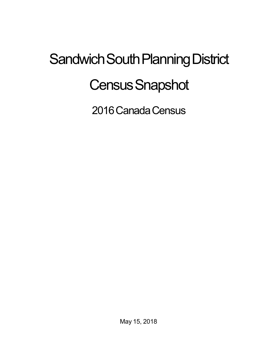## Sandwich South Planning District **Census Snapshot**

2016 Canada Census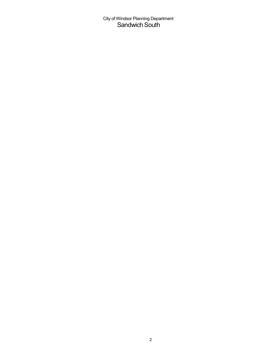City of Windsor Planning Department Sandwich South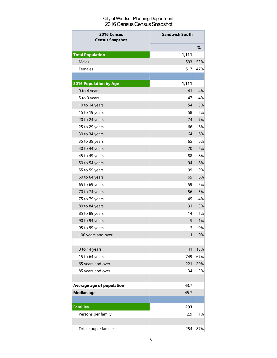## City of Windsor Planning Department 2016 Census Census Snapshot

| 2016 Census<br><b>Census Snapshot</b> | <b>Sandwich South</b> |     |
|---------------------------------------|-----------------------|-----|
|                                       |                       | %   |
| <b>Total Population</b>               | 1,111                 |     |
| <b>Males</b>                          | 593                   | 53% |
| Females                               | 517                   | 47% |
|                                       |                       |     |
| <b>2016 Population by Age</b>         | 1,111                 |     |
| 0 to 4 years                          | 41                    | 4%  |
| 5 to 9 years                          | 47                    | 4%  |
| 10 to 14 years                        | 54                    | 5%  |
| 15 to 19 years                        | 58                    | 5%  |
| 20 to 24 years                        | 74                    | 7%  |
| 25 to 29 years                        | 66                    | 6%  |
| 30 to 34 years                        | 64                    | 6%  |
| 35 to 39 years                        | 65                    | 6%  |
| 40 to 44 years                        | 70                    | 6%  |
| 45 to 49 years                        | 88                    | 8%  |
| 50 to 54 years                        | 94                    | 8%  |
| 55 to 59 years                        | 99                    | 9%  |
| 60 to 64 years                        | 65                    | 6%  |
| 65 to 69 years                        | 59                    | 5%  |
| 70 to 74 years                        | 56                    | 5%  |
| 75 to 79 years                        | 45                    | 4%  |
| 80 to 84 years                        | 31                    | 3%  |
| 85 to 89 years                        | 14                    | 1%  |
| 90 to 94 years                        | 9                     | 1%  |
| 95 to 99 years                        | 3                     | 0%  |
| 100 years and over                    | 1                     | 0%  |
|                                       |                       |     |
| 0 to 14 years                         | 141                   | 13% |
| 15 to 64 years                        | 749                   | 67% |
| 65 years and over                     | 221                   | 20% |
| 85 years and over                     | 34                    | 3%  |
|                                       |                       |     |
| <b>Average age of population</b>      | 43.7                  |     |
| <b>Median age</b>                     | 45.7                  |     |
|                                       |                       |     |
| <b>Families</b>                       | 293                   |     |
| Persons per family                    | 2.9                   | 1%  |
|                                       |                       |     |
| Total couple families                 | 254                   | 87% |